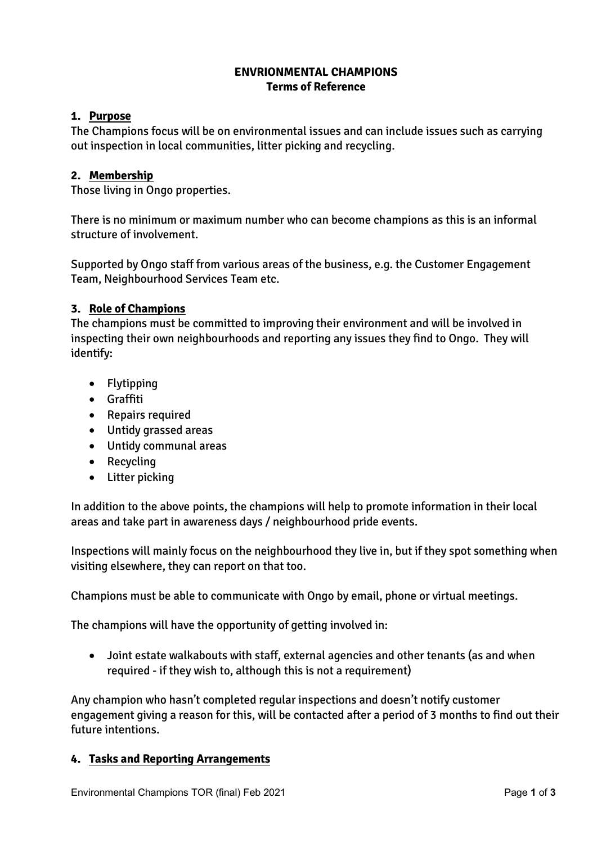# **ENVRIONMENTAL CHAMPIONS Terms of Reference**

## **1. Purpose**

The Champions focus will be on environmental issues and can include issues such as carrying out inspection in local communities, litter picking and recycling.

### **2. Membership**

Those living in Ongo properties.

There is no minimum or maximum number who can become champions as this is an informal structure of involvement.

Supported by Ongo staff from various areas of the business, e.g. the Customer Engagement Team, Neighbourhood Services Team etc.

#### **3. Role of Champions**

The champions must be committed to improving their environment and will be involved in inspecting their own neighbourhoods and reporting any issues they find to Ongo. They will identify:

- Flytipping
- Graffiti
- Repairs required
- Untidy grassed areas
- Untidy communal areas
- Recycling
- Litter picking

In addition to the above points, the champions will help to promote information in their local areas and take part in awareness days / neighbourhood pride events.

Inspections will mainly focus on the neighbourhood they live in, but if they spot something when visiting elsewhere, they can report on that too.

Champions must be able to communicate with Ongo by email, phone or virtual meetings.

The champions will have the opportunity of getting involved in:

• Joint estate walkabouts with staff, external agencies and other tenants (as and when required - if they wish to, although this is not a requirement)

Any champion who hasn't completed regular inspections and doesn't notify customer engagement giving a reason for this, will be contacted after a period of 3 months to find out their future intentions.

### **4. Tasks and Reporting Arrangements**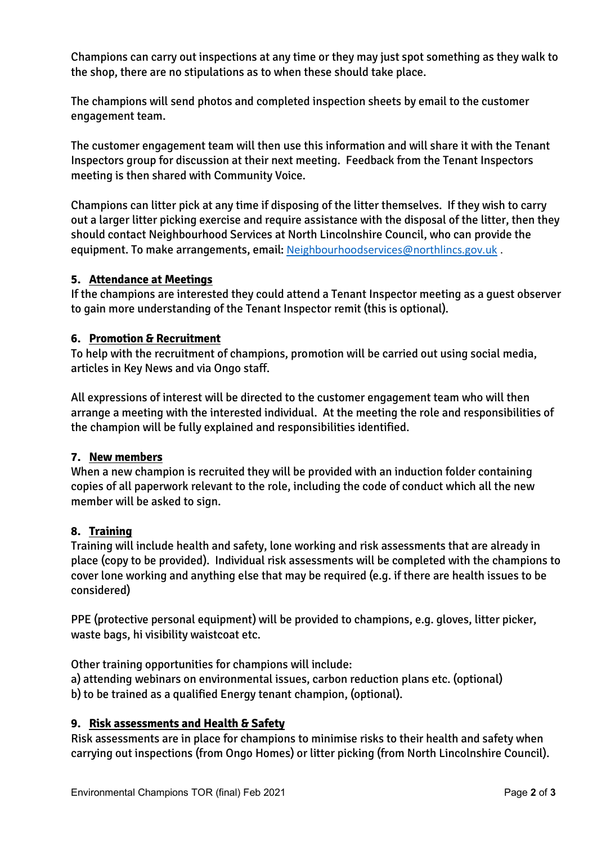Champions can carry out inspections at any time or they may just spot something as they walk to the shop, there are no stipulations as to when these should take place.

The champions will send photos and completed inspection sheets by email to the customer engagement team.

The customer engagement team will then use this information and will share it with the Tenant Inspectors group for discussion at their next meeting. Feedback from the Tenant Inspectors meeting is then shared with Community Voice.

Champions can litter pick at any time if disposing of the litter themselves. If they wish to carry out a larger litter picking exercise and require assistance with the disposal of the litter, then they should contact Neighbourhood Services at North Lincolnshire Council, who can provide the equipment. To make arrangements, email: [Neighbourhoodservices@northlincs.gov.uk](mailto:Neighbourhoodservices@northlincs.gov.uk).

### **5. Attendance at Meetings**

If the champions are interested they could attend a Tenant Inspector meeting as a guest observer to gain more understanding of the Tenant Inspector remit (this is optional).

### **6. Promotion & Recruitment**

To help with the recruitment of champions, promotion will be carried out using social media, articles in Key News and via Ongo staff.

All expressions of interest will be directed to the customer engagement team who will then arrange a meeting with the interested individual. At the meeting the role and responsibilities of the champion will be fully explained and responsibilities identified.

### **7. New members**

When a new champion is recruited they will be provided with an induction folder containing copies of all paperwork relevant to the role, including the code of conduct which all the new member will be asked to sign.

### **8. Training**

Training will include health and safety, lone working and risk assessments that are already in place (copy to be provided). Individual risk assessments will be completed with the champions to cover lone working and anything else that may be required (e.g. if there are health issues to be considered)

PPE (protective personal equipment) will be provided to champions, e.g. gloves, litter picker, waste bags, hi visibility waistcoat etc.

Other training opportunities for champions will include:

a) attending webinars on environmental issues, carbon reduction plans etc. (optional)

b) to be trained as a qualified Energy tenant champion, (optional).

# **9. Risk assessments and Health & Safety**

Risk assessments are in place for champions to minimise risks to their health and safety when carrying out inspections (from Ongo Homes) or litter picking (from North Lincolnshire Council).